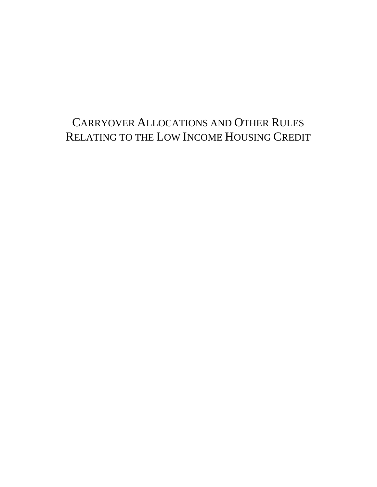# CARRYOVER ALLOCATIONS AND OTHER RULES RELATING TO THE LOW INCOME HOUSING CREDIT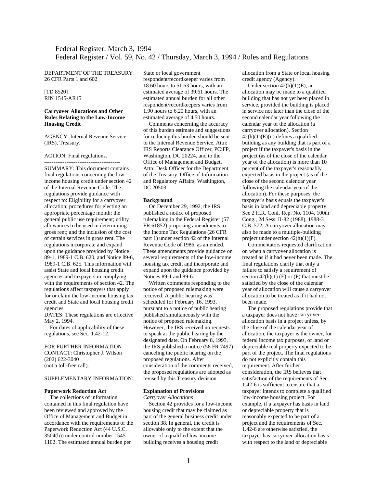# Federal Register: March 3, 1994 Federal Register / Vol. 59, No. 42 / Thursday, March 3, 1994 / Rules and Regulations

DEPARTMENT OF THE TREASURY 26 CFR Parts 1 and 602

[TD 8520] RIN 1545-AR15

# **Carryover Allocations and Other Rules Relating to the Low-Income Housing Credit**

AGENCY: Internal Revenue Service (IRS), Treasury.

#### ACTION: Final regulations.

----------------------------------------- SUMMARY: This document contains final regulations concerning the lowincome housing credit under section 42 of the Internal Revenue Code. The regulations provide guidance with respect to: Eligibility for a carryover allocation; procedures for electing an appropriate percentage month; the general public use requirement; utility allowances to be used in determining gross rent; and the inclusion of the cost of certain services in gross rent. The regulations incorporate and expand upon the guidance provided by Notice 89-1, 1989-1 C.B. 620, and Notice 89-6, 1989-1 C.B. 625. This information will assist State and local housing credit agencies and taxpayers in complying with the requirements of section 42. The regulations affect taxpayers that apply for or claim the low-income housing tax credit and State and local housing credit agencies.

DATES: These regulations are effective May 2, 1994.

 For dates of applicability of these regulations, see Sec. 1.42-12.

# FOR FURTHER INFORMATION

CONTACT: Christopher J. Wilson (202) 622-3040 (not a toll-free call).

# SUPPLEMENTARY INFORMATION:

#### **Paperwork Reduction Act**

 The collections of information contained in this final regulation have been reviewed and approved by the Office of Management and Budget in accordance with the requirements of the Paperwork Reduction Act (44 U.S.C. 3504(h)) under control number 1545- 1102. The estimated annual burden per

State or local government

respondent/recordkeeper varies from 18.60 hours to 51.63 hours, with an estimated average of 39.61 hours. The estimated annual burden for all other respondent/recordkeepers varies from 1.90 hours to 6.20 hours, with an estimated average of 4.50 hours.

 Comments concerning the accuracy of this burden estimate and suggestions for reducing this burden should be sent to the Internal Revenue Service, Attn: IRS Reports Clearance Officer, PC:FP, Washington, DC 20224, and to the Office of Management and Budget, Attn: Desk Officer for the Department of the Treasury, Office of Information and Regulatory Affairs, Washington, DC 20503.

## **Background**

 On December 29, 1992, the IRS published a notice of proposed rulemaking in the Federal Register (57 FR 61852) proposing amendments to the Income Tax Regulations (26 CFR part 1) under section 42 of the Internal Revenue Code of 1986, as amended. These amendments provide guidance on several requirements of the low-income housing tax credit and incorporate and expand upon the guidance provided by Notices 89-1 and 89-6.

 Written comments responding to the notice of proposed rulemaking were received. A public hearing was scheduled for February 16, 1993, pursuant to a notice of public hearing published simultaneously with the notice of proposed rulemaking. However, the IRS received no requests to speak at the public hearing by the designated date. On February 8, 1993, the IRS published a notice (58 FR 7497) canceling the public hearing on the proposed regulations. After consideration of the comments received, the proposed regulations are adopted as revised by this Treasury decision.

#### **Explanation of Provisions**

*Carryover Allocations* 

 Section 42 provides for a low-income housing credit that may be claimed as part of the general business credit under section 38. In general, the credit is allowable only to the extent that the owner of a qualified low-income building receives a housing credit

allocation from a State or local housing credit agency (Agency).

Under section  $42(h)(1)(E)$ , an allocation may be made to a qualified building that has not yet been placed in service, provided the building is placed in service not later than the close of the second calendar year following the calendar year of the allocation (a carryover allocation). Section  $42(h)(1)(E)(ii)$  defines a qualified building as any building that is part of a project if the taxpayer's basis in the project (as of the close of the calendar year of the allocation) is more than 10 percent of the taxpayer's reasonably expected basis in the project (as of the close of the second calendar year following the calendar year of the allocation). For these purposes, the taxpayer's basis equals the taxpayer's basis in land and depreciable property. See 2 H.R. Conf. Rep. No. 1104, 100th Cong., 2d Sess. II-82 (1988), 1988-3 C.B. 572. A carryover allocation may also be made to a multiple-building project under section  $42(h)(1)(F)$ .

 Commentators requested clarification on when a carryover allocation is treated as if it had never been made. The final regulations clarify that only a failure to satisfy a requirement of section  $42(h)(1)$  (E) or (F) that must be satisfied by the close of the calendar year of allocation will cause a carryover allocation to be treated as if it had not been made.

 The proposed regulations provide that a taxpayer does not have carryoverallocation basis in a project unless, by the close of the calendar year of allocation, the taxpayer is the owner, for federal income tax purposes, of land or depreciable real property expected to be part of the project. The final regulations do not explicitly contain this requirement. After further consideration, the IRS believes that satisfaction of the requirements of Sec. 1.42-6 is sufficient to ensure that a taxpayer intends to complete a qualified low-income housing project. For example, if a taxpayer has basis in land or depreciable property that is reasonably expected to be part of a project and the requirements of Sec. 1.42-6 are otherwise satisfied, the taxpayer has carryover-allocation basis with respect to the land or depreciable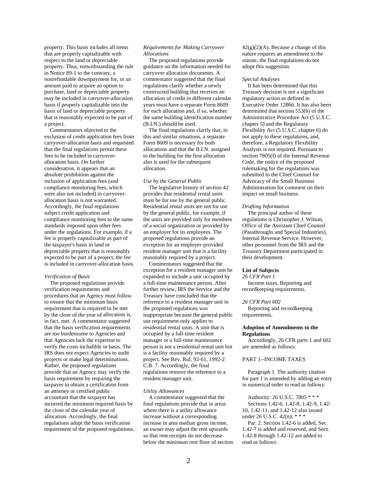property. This basis includes all items that are properly capitalizable with respect to the land or depreciable property. Thus, notwithstanding the rule in Notice 89-1 to the contrary, a nonrefundable downpayment for, or an amount paid to acquire an option to purchase, land or depreciable property may be included in carryover-allocation basis if properly capitalizable into the basis of land or depreciable property that is reasonably expected to be part of a project.

 Commentators objected to the exclusion of credit application fees from carryover-allocation basis and requested that the final regulations permit these fees to be included in carryoverallocation basis. On further consideration, it appears that an absolute prohibition against the inclusion of application fees (and compliance monitoring fees, which were also not included) in carryoverallocation basis is not warranted. Accordingly, the final regulations subject credit application and compliance monitoring fees to the same standards imposed upon other fees under the regulations. For example, if a fee is properly capitalizable as part of the taxpayer's basis in land or depreciable property that is reasonably expected to be part of a project, the fee is included in carryover-allocation basis.

#### *Verification of Basis*

 The proposed regulations provide verification requirements and procedures that an Agency must follow to ensure that the minimum basis requirement that is required to be met by the close of the year of allocation is, in fact, met. A commentator suggested that the basis verification requirements are too burdensome to Agencies and that Agencies lack the expertise to verify the costs includible in basis. The IRS does not expect Agencies to audit projects or make legal determinations. Rather, the proposed regulations provide that an Agency may verify the basis requirement by requiring the taxpayer to obtain a certification from an attorney or certified public accountant that the taxpayer has incurred the minimum required basis by the close of the calendar year of allocation. Accordingly, the final regulations adopt the basis verification requirement of the proposed regulations.

# *Requirements for Making Carryover Allocations*

 The proposed regulations provide guidance on the information needed for carryover allocation documents. A commentator suggested that the final regulations clarify whether a newly constructed building that receives an allocation of credit in different calendar years must have a separate Form 8609 for each allocation and, if so, whether the same building identification number (B.I.N.) should be used.

 The final regulations clarify that, in this and similar situations, a separate Form 8609 is necessary for both allocations and that the B.I.N. assigned to the building for the first allocation also is used for the subsequent allocation.

#### *Use by the General Public*

 The legislative history of section 42 provides that residential rental units must be for use by the general public. Residential rental units are not for use by the general public, for example, if the units are provided only for members of a social organization or provided by an employer for its employees. The proposed regulations provide an exception for an employer-provided resident manager unit that is a facility reasonably required by a project.

 Commentators suggested that the exception for a resident manager unit be expanded to include a unit occupied by a full-time maintenance person. After further review, IRS the Service and the Treasury have concluded that the reference to a resident manager unit in the proposed regulations was inappropriate because the general public use requirement only applies to residential rental units. A unit that is occupied by a full-time resident manager or a full-time maintenance person is not a residential rental unit but is a facility reasonably required by a project. See Rev. Rul. 92-61, 1992-2 C.B. 7. Accordingly, the final regulations remove the reference to a resident manager unit.

#### *Utility Allowances*

 A commentator suggested that the final regulations provide that in areas where there is a utility allowance increase without a corresponding increase in area median gross income, an owner may adjust the rent upwards so that rent receipts do not decrease below the minimum rent floor of section  $42(g)(2)(A)$ . Because a change of this nature requires an amendment to the statute, the final regulations do not adopt this suggestion.

#### *Special Analyses*

 It has been determined that this Treasury decision is not a significant regulatory action as defined in Executive Order 12866. It has also been determined that section 553(b) of the Administrative Procedure Act (5 U.S.C. chapter 5) and the Regulatory Flexibility Act (5 U.S.C. chapter 6) do not apply to these regulations, and, therefore, a Regulatory Flexibility Analysis is not required. Pursuant to section 7805(f) of the Internal Revenue Code, the notice of the proposed rulemaking for the regulations was submitted to the Chief Counsel for Advocacy of the Small Business Administration for comment on their impact on small business.

#### *Drafting Information*

 The principal author of these regulations is Christopher J. Wilson, Office of the Assistant Chief Counsel (Passthroughs and Special Industries), Internal Revenue Service. However, other personnel from the IRS and the Treasury Department participated in their development.

# **List of Subjects**

*26 CFR Part 1* 

 Income taxes, Reporting and recordkeeping requirements.

#### *26 CFR Part 602*

 Reporting and recordkeeping requirements.

# **Adoption of Amendments to the Regulations**

 Accordingly, 26 CFR parts 1 and 602 are amended as follows:

# PART 1--INCOME TAXES

 Paragraph 1. The authority citation for part 1 is amended by adding an entry in numerical order to read as follows:

 Authority: 26 U.S.C. 7805 \* \* \* Sections 1.42-6, 1.42-8, 1.42-9, 1.42- 10, 1.42-11, and 1.42-12 also issued under 26 U.S.C. 42(n); \* \* \*

 Par. 2. Section 1.42-6 is added, Sec. 1.42-7 is added and reserved, and Secs. 1.42-8 through 1.42-12 are added to read as follows: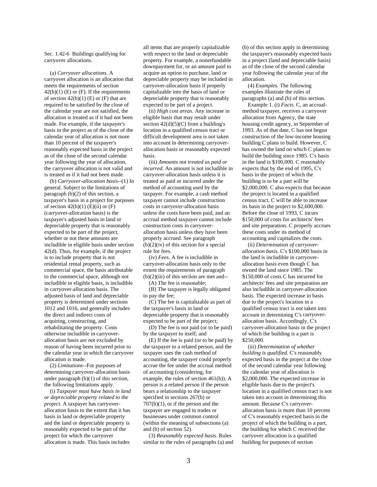Sec. 1.42-6 Buildings qualifying for carryover allocations.

 (a) *Carryover allocations*. A carryover allocation is an allocation that meets the requirements of section  $42(h)(1)$  (E) or (F). If the requirements of section  $42(h)(1)$  (E) or (F) that are required to be satisfied by the close of the calendar year are not satisfied, the allocation is treated as if it had not been made. For example, if the taxpayer's basis in the project as of the close of the calendar year of allocation is not more than 10 percent of the taxpayer's reasonably expected basis in the project as of the close of the second calendar year following the year of allocation, the carryover allocation is not valid and is treated as if it had not been made.

 (b) *Carryover-allocation basis*-*-*(1) In general. Subject to the limitations of paragraph (b)(2) of this section, a taxpayer's basis in a project for purposes of section  $42(h)(1)$  (E)(ii) or (F) (carryover-allocation basis) is the taxpayer's adjusted basis in land or depreciable property that is reasonably expected to be part of the project, whether or not these amounts are includible in eligible basis under section 42(d). Thus, for example, if the project is to include property that is not residential rental property, such as commercial space, the basis attributable to the commercial space, although not includible in eligible basis, is includible in carryover-allocation basis. The adjusted basis of land and depreciable property is determined under sections 1012 and 1016, and generally includes the direct and indirect costs of acquiring, constructing, and rehabilitating the property. Costs otherwise includible in carryoverallocation basis are not excluded by reason of having been incurred prior to the calendar year in which the carryover allocation is made.

 (2) *Limitations--*For purposes of determining carryover-allocation basis under paragraph (b)(1) of this section, the following limitations apply.

 (i) *Taxpayer must have basis in land or depreciable property related to the project*. A taxpayer has carryoverallocation basis to the extent that it has basis in land or depreciable property and the land or depreciable property is reasonably expected to be part of the project for which the carryover allocation is made. This basis includes

all items that are properly capitalizable with respect to the land or depreciable property. For example, a nonrefundable downpayment for, or an amount paid to acquire an option to purchase, land or depreciable property may be included in carryover-allocation basis if properly capitalizable into the basis of land or depreciable property that is reasonably expected to be part of a project.

 (ii) *High cost areas*. Any increase in eligible basis that may result under section  $42(d)(5)(C)$  from a building's location in a qualified census tract or difficult development area is not taken into account in determining carryoverallocation basis or reasonably expected basis.

 (iii) *Amounts not treated as paid or incurred*. An amount is not includible in carryover-allocation basis unless it is treated as paid or incurred under the method of accounting used by the taxpayer. For example, a cash method taxpayer cannot include construction costs in carryover-allocation basis unless the costs have been paid, and an accrual method taxpayer cannot include construction costs in carryoverallocation basis unless they have been properly accrued. See paragraph  $(b)(2)(iv)$  of this section for a special rule for fees.

 (iv) *Fees.* A fee is includible in carryover-allocation basis only to the extent the requirements of paragraph  $(b)(2)(iii)$  of this section are met and--

 (A) The fee is reasonable; (B) The taxpayer is legally obligated

to pay the fee;

 (C) The fee is capitalizable as part of the taxpayer's basis in land or depreciable property that is reasonably expected to be part of the project;

 (D) The fee is not paid (or to be paid) by the taxpayer to itself; and

 (E) If the fee is paid (or to be paid) by the taxpayer to a related person, and the taxpayer uses the cash method of accounting, the taxpayer could properly accrue the fee under the accrual method of accounting (considering, for example, the rules of section 461(h)). A person is a related person if the person bears a relationship to the taxpayer specified in sections 267(b) or 707(b)(1), or if the person and the taxpayer are engaged in trades or businesses under common control (within the meaning of subsections (a) and (b) of section 52).

 (3) *Reasonably expected basis.* Rules similar to the rules of paragraphs (a) and (b) of this section apply in determining the taxpayer's reasonably expected basis in a project (land and depreciable basis) as of the close of the second calendar year following the calendar year of the allocation.

 (4) *Examples.* The following examples illustrate the rules of paragraphs (a) and (b) of this section.

 Example 1. (i) *Facts*. C, an accrualmethod taxpayer, receives a carryover allocation from Agency, the state housing credit agency, in September of 1993. As of that date, C has not begun construction of the low-income housing building C plans to build. However, C has owned the land on which C plans to build the building since 1985. C's basis in the land is \$100,000. C reasonably expects that by the end of 1995, C's basis in the project of which the building is to be a part will be \$2,000,000. C also expects that because the project is located in a qualified census tract, C will be able to increase its basis in the project to \$2,600,000. Before the close of 1993, C incurs \$150,000 of costs for architects' fees and site preparation. C properly accrues these costs under its method of accounting and capitalizes the costs.

 (ii) *Determination of carryoverallocation basis*. C's \$100,000 basis in the land is includible in carryoverallocation basis even though C has owned the land since 1985. The \$150,000 of costs C has incurred for architects' fees and site preparation are also includible in carryover-allocation basis. The expected increase in basis due to the project's location in a qualified census tract is not taken into account in determining C's carryoverallocation basis. Accordingly, C's carryover-allocation basis in the project of which the building is a part is \$250,000.

 (iii) *Determination of whether building is qualified.* C's reasonably expected basis in the project at the close of the second calendar year following the calendar year of allocation is \$2,000,000. The expected increase in eligible basis due to the project's location in a qualified census tract is not taken into account in determining this amount. Because C's carryoverallocation basis is more than 10 percent of C's reasonably expected basis in the project of which the building is a part, the building for which C received the carryover allocation is a qualified building for purposes of section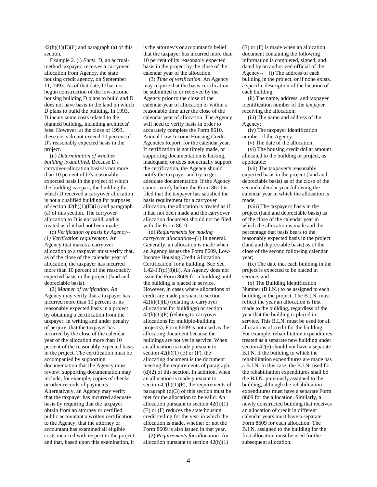$42(h)(1)(E)(ii)$  and paragraph (a) of this section.

 Example 2. (i) *Facts.* D, an accrualmethod taxpayer, receives a carryover allocation from Agency, the state housing credit agency, on September 11, 1993. As of that date, D has not begun construction of the low-income housing building D plans to build and D does not have basis in the land on which D plans to build the building. In 1993, D incurs some costs related to the planned building, including architects' fees. However, at the close of 1993, these costs do not exceed 10 percent of D's reasonably expected basis in the project.

 (ii) *Determination of whether building is qualified.* Because D's carryover-allocation basis is not more than 10 percent of D's reasonably expected basis in the project of which the building is a part, the building for which D received a carryover allocation is not a qualified building for purposes of section  $42(h)(1)(E)(ii)$  and paragraph (a) of this section. The carryover allocation to D is not valid, and is treated as if it had not been made.

 (c) *Verification of basis by Agency-- (1) Verification requirement.* An Agency that makes a carryover allocation to a taxpayer must verify that, as of the close of the calendar year of allocation, the taxpayer has incurred more than 10 percent of the reasonably expected basis in the project (land and depreciable basis).

 (2) *Manner of verification*. An Agency may verify that a taxpayer has incurred more than 10 percent of its reasonably expected basis in a project by obtaining a certification from the taxpayer, in writing and under penalty of perjury, that the taxpayer has incurred by the close of the calendar year of the allocation more than 10 percent of the reasonably expected basis in the project. The certification must be accompanied by supporting documentation that the Agency must review. supporting documentation may include, for example, copies of checks or other records of payments. Alternatively, an Agency may verify that the taxpayer has incurred adequate basis by requiring that the taxpayer obtain from an attorney or certified public accountant a written certification to the Agency, that the attorney or accountant has examined all eligible costs incurred with respect to the project and that, based upon this examination, it is the attorney's or accountant's belief that the taxpayer has incurred more than 10 percent of its reasonably expected basis in the project by the close of the calendar year of the allocation.

 (3) *Time of verification*. An Agency may require that the basis certification be submitted to or received by the Agency prior to the close of the calendar year of allocation or within a reasonable time after the close of the calendar year of allocation. The Agency will need to verify basis in order to accurately complete the Form 8610, Annual Low-Income Housing Credit Agencies Report, for the calendar year. If certification is not timely made, or supporting documentation is lacking, inadequate, or does not actually support the certification, the Agency should notify the taxpayer and try to get adequate documentation. If the Agency cannot verify before the Form 8610 is filed that the taxpayer has satisfied the basis requirement for a carryover allocation, the allocation is treated as if it had not been made and the carryover allocation document should not be filed with the Form 8610.

 (d) *Requirements for making carryover allocations--(*1) In general. Generally, an allocation is made when an Agency issues the Form 8609, Low-Income Housing Credit Allocation Certification, for a building. See Sec.  $1.42-1T(d)(8)(ii)$ . An Agency does not issue the Form 8609 for a building until the building is placed in service. However, in cases where allocations of credit are made pursuant to section  $42(h)(1)(E)$  (relating to carryover allocations for buildings) or section  $42(h)(1)(F)$  (relating to carryover allocations for multiple-building projects), Form 8609 is not used as the allocating document because the buildings are not yet in service. When an allocation is made pursuant to section  $42(h)(1)$  (E) or (F), the allocating document is the document meeting the requirements of paragraph  $(d)(2)$  of this section. In addition, when an allocation is made pursuant to section  $42(h)(1)(F)$ , the requirements of paragraph (d)(3) of this section must be met for the allocation to be valid. An allocation pursuant to section  $42(h)(1)$ (E) or (F) reduces the state housing credit ceiling for the year in which the allocation is made, whether or not the Form 8609 is also issued in that year.

 (2) *Requirements for allocation.* An allocation pursuant to section  $42(h)(1)$ 

(E) or (F) is made when an allocation document containing the following information is completed, signed, and dated by an authorized official of the Agency-- (i) The address of each building in the project, or if none exists, a specific description of the location of each building;

 (ii) The name, address, and taxpayer identification number of the taxpayer receiving the allocation;

 (iii) The name and address of the Agency;

 (iv) The taxpayer identification number of the Agency;

(v) The date of the allocation;

 (vi) The housing credit dollar amount allocated to the building or project, as applicable;

 (vii) The taxpayer's reasonably expected basis in the project (land and depreciable basis) as of the close of the second calendar year following the calendar year in which the allocation is made;

 (viii) The taxpayer's basis in the project (land and depreciable basis) as of the close of the calendar year in which the allocation is made and the percentage that basis bears to the reasonably expected basis in the project (land and depreciable basis) as of the close of the second following calendar year;

 (ix) The date that each building in the project is expected to be placed in service; and

 (x) The Building Identification Number (B.I.N.) to be assigned to each building in the project. The B.I.N. must reflect the year an allocation is first made to the building, regardless of the year that the building is placed in service. This B.I.N. must be used for all allocations of credit for the building. For example, rehabilitation expenditures treated as a separate new building under section 42(e) should not have a separate B.I.N. if the building to which the rehabilitation expenditures are made has a B.I.N. In this case, the B.I.N. used for the rehabilitation expenditures shall be the B.I.N. previously assigned to the building, although the rehabilitation expenditures must have a separate Form 8609 for the allocation. Similarly, a newly constructed building that receives an allocation of credit in different calendar years must have a separate Form 8609 for each allocation. The B.I.N. assigned to the building for the first allocation must be used for the subsequent allocation.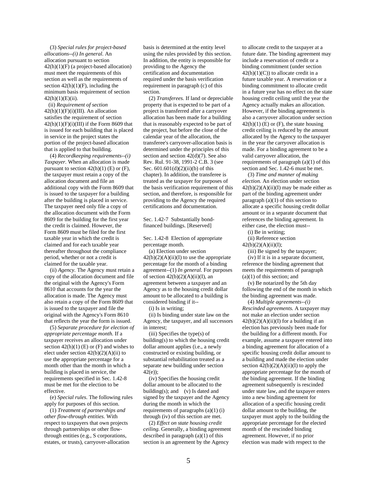(3) *Special rules for project-based allocations--(i) In general*. An allocation pursuant to section  $42(h)(1)(F)$  (a project-based allocation) must meet the requirements of this section as well as the requirements of section  $42(h)(1)(F)$ , including the minimum basis requirement of section  $42(h)(1)(E)(ii)$ .

 (ii) *Requirement of section*  $42(h)(1)(F)(i)(III)$ . An allocation satisfies the requirement of section  $42(h)(1)(F)(i)(III)$  if the Form 8609 that is issued for each building that is placed in service in the project states the portion of the project-based allocation that is applied to that building.

 (4) *Recordkeeping requirements--(i) Taxpayer.* When an allocation is made pursuant to section  $42(h)(1)$  (E) or (F), the taxpayer must retain a copy of the allocation document and file an additional copy with the Form 8609 that is issued to the taxpayer for a building after the building is placed in service. The taxpayer need only file a copy of the allocation document with the Form 8609 for the building for the first year the credit is claimed. However, the Form 8609 must be filed for the first taxable year in which the credit is claimed and for each taxable year thereafter throughout the compliance period, whether or not a credit is claimed for the taxable year.

 (ii) *Agency.* The Agency must retain a copy of the allocation document and file the original with the Agency's Form 8610 that accounts for the year the allocation is made. The Agency must also retain a copy of the Form 8609 that is issued to the taxpayer and file the original with the Agency's Form 8610 that reflects the year the form is issued.

 (5) *Separate procedure for election of appropriate percentage month.* If a taxpayer receives an allocation under section  $42(h)(1)$  (E) or (F) and wishes to elect under section  $42(b)(2)(A)(ii)$  to use the appropriate percentage for a month other than the month in which a building is placed in service, the requirements specified in Sec. 1.42-8 must be met for the election to be effective.

 (e) *Special rules*. The following rules apply for purposes of this section.

 (1) *Treatment of partnerships and other flow-through entities.* With respect to taxpayers that own projects through partnerships or other flowthrough entities (e.g., S corporations, estates, or trusts), carryover-allocation basis is determined at the entity level using the rules provided by this section. In addition, the entity is responsible for providing to the Agency the certification and documentation required under the basis verification requirement in paragraph (c) of this section.

 (2) *Transferees.* If land or depreciable property that is expected to be part of a project is transferred after a carryover allocation has been made for a building that is reasonably expected to be part of the project, but before the close of the calendar year of the allocation, the transferee's carryover-allocation basis is determined under the principles of this section and section 42(d)(7). See also Rev. Rul. 91-38, 1991-2 C.B. 3 (see Sec. 601.601(d)(2)(ii)(b) of this chapter). In addition, the transferee is treated as the taxpayer for purposes of the basis verification requirement of this section, and therefore, is responsible for providing to the Agency the required certifications and documentation.

Sec. 1.42-7 Substantially bondfinanced buildings. [Reserved]

Sec. 1.42-8 Election of appropriate percentage month.

 (a) Election under section  $42(b)(2)(A)(ii)(I)$  to use the appropriate percentage for the month of a binding agreement--(1) *In general*. For purposes of section  $42(b)(2)(A)(ii)(I)$ , an agreement between a taxpayer and an Agency as to the housing credit dollar amount to be allocated to a building is considered binding if it--

(i) Is in writing;

 (ii) Is binding under state law on the Agency, the taxpayer, and all successors in interest;

 (iii) Specifies the type(s) of building(s) to which the housing credit dollar amount applies (i.e., a newly constructed or existing building, or substantial rehabilitation treated as a separate new building under section 42(e));

 (iv) Specifies the housing credit dollar amount to be allocated to the building(s); and (v) Is dated and signed by the taxpayer and the Agency during the month in which the requirements of paragraphs  $(a)(1)$  (i) through (iv) of this section are met.

 (2) *Effect on state housing credit ceiling.* Generally, a binding agreement described in paragraph (a)(1) of this section is an agreement by the Agency

to allocate credit to the taxpayer at a future date. The binding agreement may include a reservation of credit or a binding commitment (under section  $42(h)(1)(C)$  to allocate credit in a future taxable year. A reservation or a binding commitment to allocate credit in a future year has no effect on the state housing credit ceiling until the year the Agency actually makes an allocation. However, if the binding agreement is also a carryover allocation under section  $42(h)(1)$  (E) or (F), the state housing credit ceiling is reduced by the amount allocated by the Agency to the taxpayer in the year the carryover allocation is made. For a binding agreement to be a valid carryover allocation, the requirements of paragraph  $(a)(1)$  of this section and Sec. 1.42-6 must be met.

 (3) *Time and manner of making election.* An election under section  $42(b)(2)(A)(ii)(I)$  may be made either as part of the binding agreement under paragraph (a)(1) of this section to allocate a specific housing credit dollar amount or in a separate document that references the binding agreement. In either case, the election must--

(i) Be in writing;

(ii) Reference section

 $42(b)(2)(A)(ii)(I);$ 

(iii) Be signed by the taxpayer;

 (iv) If it is in a separate document, reference the binding agreement that meets the requirements of paragraph (a)(1) of this section; and

 (v) Be notarized by the 5th day following the end of the month in which the binding agreement was made.

 (4) *Multiple agreements--(i) Rescinded agreements.* A taxpayer may not make an election under section  $42(b)(2)(A)(ii)(I)$  for a building if an election has previously been made for the building for a different month. For example, assume a taxpayer entered into a binding agreement for allocation of a specific housing credit dollar amount to a building and made the election under section  $42(b)(2)(A)(ii)(I)$  to apply the appropriate percentage for the month of the binding agreement. If the binding agreement subsequently is rescinded under state law, and the taxpayer enters into a new binding agreement for allocation of a specific housing credit dollar amount to the building, the taxpayer must apply to the building the appropriate percentage for the elected month of the rescinded binding agreement. However, if no prior election was made with respect to the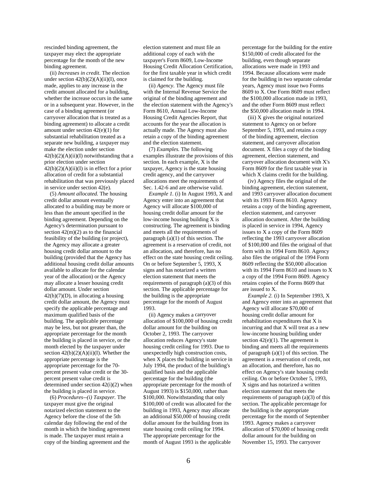rescinded binding agreement, the taxpayer may elect the appropriate percentage for the month of the new binding agreement.

 (ii) *Increases in credit*. The election under section  $42(b)(2)(A)(ii)(I)$ , once made, applies to any increase in the credit amount allocated for a building, whether the increase occurs in the same or in a subsequent year. However, in the case of a binding agreement (or carryover allocation that is treated as a binding agreement) to allocate a credit amount under section 42(e)(1) for substantial rehabilitation treated as a separate new building, a taxpayer may make the election under section  $42(b)(2)(A)(ii)(I)$  notwithstanding that a prior election under section  $42(b)(2)(A)(ii)(I)$  is in effect for a prior allocation of credit for a substantial rehabilitation that was previously placed in service under section 42(e).

 (5) *Amount allocated.* The housing credit dollar amount eventually allocated to a building may be more or less than the amount specified in the binding agreement. Depending on the Agency's determination pursuant to section  $42(m)(2)$  as to the financial feasibility of the building (or project), the Agency may allocate a greater housing credit dollar amount to the building (provided that the Agency has additional housing credit dollar amounts available to allocate for the calendar year of the allocation) or the Agency may allocate a lesser housing credit dollar amount. Under section  $42(h)(7)(D)$ , in allocating a housing credit dollar amount, the Agency must specify the applicable percentage and maximum qualified basis of the building. The applicable percentage may be less, but not greater than, the appropriate percentage for the month the building is placed in service, or the month elected by the taxpayer under section  $42(b)(2)(A)(ii)(I)$ . Whether the appropriate percentage is the appropriate percentage for the 70 percent present value credit or the 30 percent present value credit is determined under section 42(i)(2) when the building is placed in service.

 (6) *Procedures--(i) Taxpayer.* The taxpayer must give the original notarized election statement to the Agency before the close of the 5th calendar day following the end of the month in which the binding agreement is made. The taxpayer must retain a copy of the binding agreement and the

election statement and must file an additional copy of each with the taxpayer's Form 8609, Low-Income Housing Credit Allocation Certification, for the first taxable year in which credit is claimed for the building.

 (ii) *Agency.* The Agency must file with the Internal Revenue Service the original of the binding agreement and the election statement with the Agency's Form 8610, Annual Low-Income Housing Credit Agencies Report, that accounts for the year the allocation is actually made. The Agency must also retain a copy of the binding agreement and the election statement.

 (7) *Examples.* The following examples illustrate the provisions of this section. In each example, X is the taxpayer, Agency is the state housing credit agency, and the carryover allocations meet the requirements of Sec. 1.42-6 and are otherwise valid.

 *Example 1.* (i) In August 1993, X and Agency enter into an agreement that Agency will allocate \$100,000 of housing credit dollar amount for the low-income housing building X is constructing. The agreement is binding and meets all the requirements of paragraph  $(a)(1)$  of this section. The agreement is a reservation of credit, not an allocation, and therefore, has no effect on the state housing credit ceiling. On or before September 5, 1993, X signs and has notarized a written election statement that meets the requirements of paragraph (a)(3) of this section. The applicable percentage for the building is the appropriate percentage for the month of August 1993.

 (ii) Agency makes a carryover allocation of \$100,000 of housing credit dollar amount for the building on October 2, 1993. The carryover allocation reduces Agency's state housing credit ceiling for 1993. Due to unexpectedly high construction costs, when X places the building in service in July 1994, the product of the building's qualified basis and the applicable percentage for the building (the appropriate percentage for the month of August 1993) is \$150,000, rather than \$100,000. Notwithstanding that only \$100,000 of credit was allocated for the building in 1993, Agency may allocate an additional \$50,000 of housing credit dollar amount for the building from its state housing credit ceiling for 1994. The appropriate percentage for the month of August 1993 is the applicable

percentage for the building for the entire \$150,000 of credit allocated for the building, even though separate allocations were made in 1993 and 1994. Because allocations were made for the building in two separate calendar years, Agency must issue two Forms 8609 to X. One Form 8609 must reflect the \$100,000 allocation made in 1993, and the other Form 8609 must reflect the \$50,000 allocation made in 1994.

 (iii) X gives the original notarized statement to Agency on or before September 5, 1993, and retains a copy of the binding agreement, election statement, and carryover allocation document. X files a copy of the binding agreement, election statement, and carryover allocation document with X's Form 8609 for the first taxable year in which X claims credit for the building.

 (iv) Agency files the original of the binding agreement, election statement, and 1993 carryover allocation document with its 1993 Form 8610. Agency retains a copy of the binding agreement, election statement, and carryover allocation document. After the building is placed in service in 1994, Agency issues to X a copy of the Form 8609 reflecting the 1993 carryover allocation of \$100,000 and files the original of that form with its 1994 Form 8610. Agency also files the original of the 1994 Form 8609 reflecting the \$50,000 allocation with its 1994 Form 8610 and issues to X a copy of the 1994 Form 8609. Agency retains copies of the Forms 8609 that are issued to X.

 *Example 2.* (i) In September 1993, X and Agency enter into an agreement that Agency will allocate \$70,000 of housing credit dollar amount for rehabilitation expenditures that X is incurring and that X will treat as a new low-income housing building under section  $42(e)(1)$ . The agreement is binding and meets all the requirements of paragraph (a)(1) of this section. The agreement is a reservation of credit, not an allocation, and therefore, has no effect on Agency's state housing credit ceiling. On or before October 5, 1993, X signs and has notarized a written election statement that meets the requirements of paragraph (a)(3) of this section. The applicable percentage for the building is the appropriate percentage for the month of September 1993. Agency makes a carryover allocation of \$70,000 of housing credit dollar amount for the building on November 15, 1993. The carryover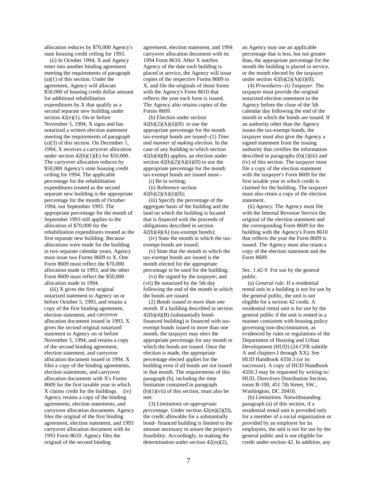allocation reduces by \$70,000 Agency's state housing credit ceiling for 1993.

 (ii) In October 1994, X and Agency enter into another binding agreement meeting the requirements of paragraph (a)(1) of this section. Under the agreement, Agency will allocate \$50,000 of housing credit dollar amount for additional rehabilitation expenditures by X that qualify as a second separate new building under section 42(e)(1). On or before November 5, 1994, X signs and has notarized a written election statement meeting the requirements of paragraph (a)(3) of this section. On December 1, 1994, X receives a carryover allocation under section 42(h)(1)(E) for \$50,000. The carryover allocation reduces by \$50,000 Agency's state housing credit ceiling for 1994. The applicable percentage for the rehabilitation expenditures treated as the second separate new building is the appropriate percentage for the month of October 1994, not September 1993. The appropriate percentage for the month of September 1993 still applies to the allocation of \$70,000 for the rehabilitation expenditures treated as the first separate new building. Because allocations were made for the building in two separate calendar years, Agency must issue two Forms 8609 to X. One Form 8609 must reflect the \$70,000 allocation made in 1993, and the other Form 8609 must reflect the \$50,000 allocation made in 1994.

 (iii) X gives the first original notarized statement to Agency on or before October 5, 1993, and retains a copy of the first binding agreement, election statement, and carryover allocation document issued in 1993. X gives the second original notarized statement to Agency on or before November 5, 1994, and retains a copy of the second binding agreement, election statement, and carryover allocation document issued in 1994. X files a copy of the binding agreements, election statements, and carryover allocation documents with X's Forms 8609 for the first taxable year in which X claims credit for the buildings. (iv) Agency retains a copy of the binding agreements, election statements, and carryover allocation documents. Agency files the original of the first binding agreement, election statement, and 1993 carryover allocation document with its 1993 Form 8610. Agency files the original of the second binding

agreement, election statement, and 1994 carryover allocation document with its 1994 Form 8610. After X notifies Agency of the date each building is placed in service, the Agency will issue copies of the respective Forms 8609 to X, and file the originals of those forms with the Agency's Form 8610 that reflects the year each form is issued. The Agency also retains copies of the Forms 8609.

 (b) Election under section  $42(b)(2)(A)(ii)(II)$  to use the appropriate percentage for the month tax-exempt bonds are issued*--(1) Time and manner of making election*. In the case of any building to which section 42(h)(4)(B) applies, an election under section  $42(b)(2)(A)(ii)(II)$  to use the appropriate percentage for the month tax-exempt bonds are issued must--

(i) Be in writing;

 (ii) Reference section 42(b)(2)(A)(ii)(II);

 (iii) Specify the percentage of the aggregate basis of the building and the land on which the building is located that is financed with the proceeds of obligations described in section  $42(h)(4)(A)$  (tax-exempt bonds);

 (iv) State the month in which the taxexempt bonds are issued;

 (v) State that the month in which the tax-exempt bonds are issued is the month elected for the appropriate percentage to be used for the building;

 (vi) Be signed by the taxpayer; and (vii) Be notarized by the 5th day following the end of the month in which the bonds are issued.

 (2) *Bonds issued in more than one month.* If a building described in section 42(h)(4)(B) (substantially bondfinanced building) is financed with taxexempt bonds issued in more than one month, the taxpayer may elect the appropriate percentage for any month in which the bonds are issued. Once the election is made, the appropriate percentage elected applies for the building even if all bonds are not issued in that month. The requirements of this paragraph (b), including the time limitation contained in paragraph  $(b)(1)(vii)$  of this section, must also be met.

 (3) *Limitations on appropriate percentage*. Under section 42(m)(2)(D), the credit allowable for a substantially bond- financed building is limited to the amount necessary to assure the project's feasibility. Accordingly, in making the determination under section 42(m)(2),

an Agency may use an applicable percentage that is less, but not greater than, the appropriate percentage for the month the building is placed in service, or the month elected by the taxpayer under section  $42(b)(2)(A)(ii)(II)$ .

 (4) *Procedures--(i) Taxpayer.* The taxpayer must provide the original notarized election statement to the Agency before the close of the 5th calendar day following the end of the month in which the bonds are issued. If an authority other than the Agency issues the tax-exempt bonds, the taxpayer must also give the Agency a signed statement from the issuing authority that certifies the information described in paragraphs (b)(1)(iii) and (iv) of this section. The taxpayer must file a copy of the election statement with the taxpayer's Form 8609 for the first taxable year in which credit is claimed for the building. The taxpayer must also retain a copy of the election statement.

 (ii) *Agency.* The Agency must file with the Internal Revenue Service the original of the election statement and the corresponding Form 8609 for the building with the Agency's Form 8610 that reflects the year the Form 8609 is issued. The Agency must also retain a copy of the election statement and the Form 8609.

# Sec. 1.42-9 For use by the general public.

 (a) *General rule.* If a residential rental unit in a building is not for use by the general public, the unit is not eligible for a section 42 credit. A residential rental unit is for use by the general public if the unit is rented in a manner consistent with housing policy governing non-discrimination, as evidenced by rules or regulations of the Department of Housing and Urban Development (HUD) (24 CFR subtitle A and chapters I through XX). See HUD Handbook 4350.3 (or its successor). A copy of HUD Handbook 4350.3 may be requested by writing to: HUD, Directives Distribution Section, room B-100, 451 7th Street, SW., Washington, DC 20410.

 (b) *Limitations*. Notwithstanding paragraph (a) of this section, if a residential rental unit is provided only for a member of a social organization or provided by an employer for its employees, the unit is not for use by the general public and is not eligible for credit under section 42. In addition, any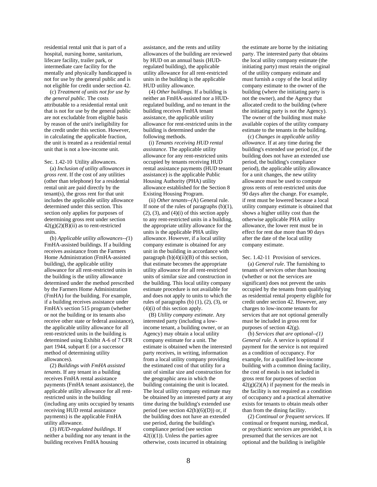residential rental unit that is part of a hospital, nursing home, sanitarium, lifecare facility, trailer park, or intermediate care facility for the mentally and physically handicapped is not for use by the general public and is not eligible for credit under section 42.

 (c) *Treatment of units not for use by the general public*. The costs attributable to a residential rental unit that is not for use by the general public are not excludable from eligible basis by reason of the unit's ineligibility for the credit under this section. However, in calculating the applicable fraction, the unit is treated as a residential rental unit that is not a low-income unit.

#### Sec. 1.42-10 Utility allowances.

 (a) *Inclusion of utility allowances in gross rent*. If the cost of any utilities (other than telephone) for a residential rental unit are paid directly by the tenant(s), the gross rent for that unit includes the applicable utility allowance determined under this section. This section only applies for purposes of determining gross rent under section  $42(g)(2)(B)(ii)$  as to rent-restricted units.

 (b) *Applicable utility allowances--(*1) FmHA-assisted buildings. If a building receives assistance from the Farmers Home Administration (FmHA-assisted building), the applicable utility allowance for all rent-restricted units in the building is the utility allowance determined under the method prescribed by the Farmers Home Administration (FmHA) for the building. For example, if a building receives assistance under FmHA's section 515 program (whether or not the building or its tenants also receive other state or federal assistance), the applicable utility allowance for all rent-restricted units in the building is determined using Exhibit A-6 of 7 CFR part 1944, subpart E (or a successor method of determining utility allowances).

 (2) *Buildings with FmHA assisted tenants*. If any tenant in a building receives FmHA rental assistance payments (FmHA tenant assistance), the applicable utility allowance for all rentrestricted units in the building (including any units occupied by tenants receiving HUD rental assistance payments) is the applicable FmHA utility allowance.

 (3) *HUD-regulated buildings*. If neither a building nor any tenant in the building receives FmHA housing

assistance, and the rents and utility allowances of the building are reviewed by HUD on an annual basis (HUDregulated building), the applicable utility allowance for all rent-restricted units in the building is the applicable HUD utility allowance.

 (4) *Other buildings.* If a building is neither an FmHA-assisted nor a HUDregulated building, and no tenant in the building receives FmHA tenant assistance, the applicable utility allowance for rent-restricted units in the building is determined under the following methods.

 (i) *Tenants receiving HUD rental assistance.* The applicable utility allowance for any rent-restricted units occupied by tenants receiving HUD rental assistance payments (HUD tenant assistance) is the applicable Public Housing Authority (PHA) utility allowance established for the Section 8 Existing Housing Program.

 (ii) *Other tenants--(*A) General rule. If none of the rules of paragraphs  $(b)(1)$ ,  $(2)$ ,  $(3)$ , and  $(4)(i)$  of this section apply to any rent-restricted units in a building, the appropriate utility allowance for the units is the applicable PHA utility allowance. However, if a local utility company estimate is obtained for any unit in the building in accordance with paragraph  $(b)(4)(ii)(B)$  of this section, that estimate becomes the appropriate utility allowance for all rent-restricted units of similar size and construction in the building. This local utility company estimate procedure is not available for and does not apply to units to which the rules of paragraphs  $(b)$   $(1)$ ,  $(2)$ ,  $(3)$ , or (4)(i) of this section apply.

 (B) *Utility company estimate.* Any interested party (including a lowincome tenant, a building owner, or an Agency) may obtain a local utility company estimate for a unit. The estimate is obtained when the interested party receives, in writing, information from a local utility company providing the estimated cost of that utility for a unit of similar size and construction for the geographic area in which the building containing the unit is located. The local utility company estimate may be obtained by an interested party at any time during the building's extended use period (see section  $42(h)(6)(D)$ ) or, if the building does not have an extended use period, during the building's compliance period (see section 42(i)(1)). Unless the parties agree otherwise, costs incurred in obtaining

the estimate are borne by the initiating party. The interested party that obtains the local utility company estimate (the initiating party) must retain the original of the utility company estimate and must furnish a copy of the local utility company estimate to the owner of the building (where the initiating party is not the owner), and the Agency that allocated credit to the building (where the initiating party is not the Agency). The owner of the building must make available copies of the utility company estimate to the tenants in the building.

 (c) *Changes in applicable utility allowance.* If at any time during the building's extended use period (or, if the building does not have an extended use period, the building's compliance period), the applicable utility allowance for a unit changes, the new utility allowance must be used to compute gross rents of rent-restricted units due 90 days after the change. For example, if rent must be lowered because a local utility company estimate is obtained that shows a higher utility cost than the otherwise applicable PHA utility allowance, the lower rent must be in effect for rent due more than 90 days after the date of the local utility company estimate.

Sec. 1.42-11 Provision of services.

 (a) *General rule*. The furnishing to tenants of services other than housing (whether or not the services are significant) does not prevent the units occupied by the tenants from qualifying as residential rental property eligible for credit under section 42. However, any charges to low-income tenants for services that are not optional generally must be included in gross rent for purposes of section 42(g).

 (b) *Services that are optional--(1) General rule.* A service is optional if payment for the service is not required as a condition of occupancy. For example, for a qualified low-income building with a common dining facility, the cost of meals is not included in gross rent for purposes of section  $42(g)(2)(A)$  if payment for the meals in the facility is not required as a condition of occupancy and a practical alternative exists for tenants to obtain meals other than from the dining facility.

 (2) *Continual or frequent services.* If continual or frequent nursing, medical, or psychiatric services are provided, it is presumed that the services are not optional and the building is ineligible